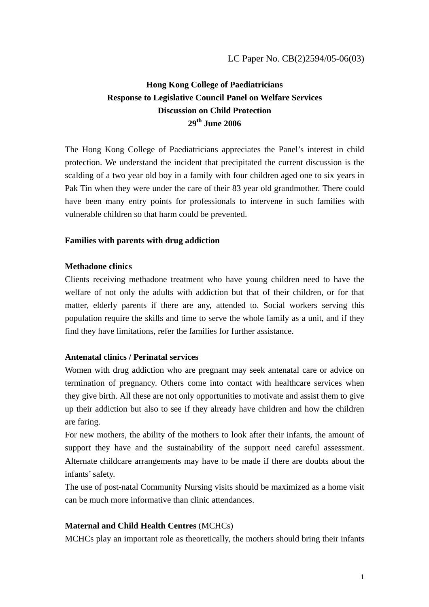# **Hong Kong College of Paediatricians Response to Legislative Council Panel on Welfare Services Discussion on Child Protection 29th June 2006**

The Hong Kong College of Paediatricians appreciates the Panel's interest in child protection. We understand the incident that precipitated the current discussion is the scalding of a two year old boy in a family with four children aged one to six years in Pak Tin when they were under the care of their 83 year old grandmother. There could have been many entry points for professionals to intervene in such families with vulnerable children so that harm could be prevented.

# **Families with parents with drug addiction**

## **Methadone clinics**

Clients receiving methadone treatment who have young children need to have the welfare of not only the adults with addiction but that of their children, or for that matter, elderly parents if there are any, attended to. Social workers serving this population require the skills and time to serve the whole family as a unit, and if they find they have limitations, refer the families for further assistance.

## **Antenatal clinics / Perinatal services**

Women with drug addiction who are pregnant may seek antenatal care or advice on termination of pregnancy. Others come into contact with healthcare services when they give birth. All these are not only opportunities to motivate and assist them to give up their addiction but also to see if they already have children and how the children are faring.

For new mothers, the ability of the mothers to look after their infants, the amount of support they have and the sustainability of the support need careful assessment. Alternate childcare arrangements may have to be made if there are doubts about the infants' safety.

The use of post-natal Community Nursing visits should be maximized as a home visit can be much more informative than clinic attendances.

## **Maternal and Child Health Centres** (MCHCs)

MCHCs play an important role as theoretically, the mothers should bring their infants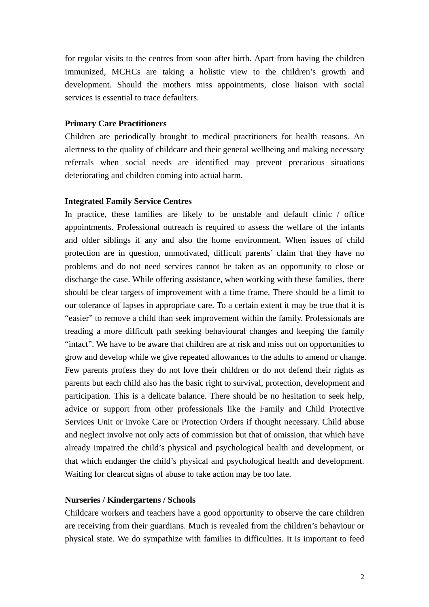for regular visits to the centres from soon after birth. Apart from having the children immunized, MCHCs are taking a holistic view to the children's growth and development. Should the mothers miss appointments, close liaison with social services is essential to trace defaulters.

### **Primary Care Practitioners**

Children are periodically brought to medical practitioners for health reasons. An alertness to the quality of childcare and their general wellbeing and making necessary referrals when social needs are identified may prevent precarious situations deteriorating and children coming into actual harm.

#### **Integrated Family Service Centres**

In practice, these families are likely to be unstable and default clinic / office appointments. Professional outreach is required to assess the welfare of the infants and older siblings if any and also the home environment. When issues of child protection are in question, unmotivated, difficult parents' claim that they have no problems and do not need services cannot be taken as an opportunity to close or discharge the case. While offering assistance, when working with these families, there should be clear targets of improvement with a time frame. There should be a limit to our tolerance of lapses in appropriate care. To a certain extent it may be true that it is "easier" to remove a child than seek improvement within the family. Professionals are treading a more difficult path seeking behavioural changes and keeping the family "intact". We have to be aware that children are at risk and miss out on opportunities to grow and develop while we give repeated allowances to the adults to amend or change. Few parents profess they do not love their children or do not defend their rights as parents but each child also has the basic right to survival, protection, development and participation. This is a delicate balance. There should be no hesitation to seek help, advice or support from other professionals like the Family and Child Protective Services Unit or invoke Care or Protection Orders if thought necessary. Child abuse and neglect involve not only acts of commission but that of omission, that which have already impaired the child's physical and psychological health and development, or that which endanger the child's physical and psychological health and development. Waiting for clearcut signs of abuse to take action may be too late.

#### **Nurseries / Kindergartens / Schools**

Childcare workers and teachers have a good opportunity to observe the care children are receiving from their guardians. Much is revealed from the children's behaviour or physical state. We do sympathize with families in difficulties. It is important to feed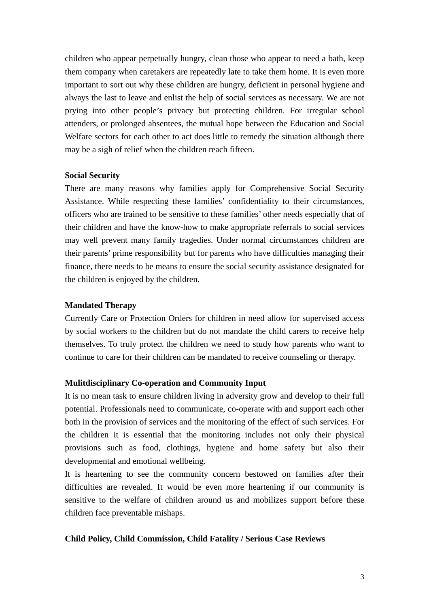children who appear perpetually hungry, clean those who appear to need a bath, keep them company when caretakers are repeatedly late to take them home. It is even more important to sort out why these children are hungry, deficient in personal hygiene and always the last to leave and enlist the help of social services as necessary. We are not prying into other people's privacy but protecting children. For irregular school attenders, or prolonged absentees, the mutual hope between the Education and Social Welfare sectors for each other to act does little to remedy the situation although there may be a sigh of relief when the children reach fifteen.

## **Social Security**

There are many reasons why families apply for Comprehensive Social Security Assistance. While respecting these families' confidentiality to their circumstances, officers who are trained to be sensitive to these families' other needs especially that of their children and have the know-how to make appropriate referrals to social services may well prevent many family tragedies. Under normal circumstances children are their parents' prime responsibility but for parents who have difficulties managing their finance, there needs to be means to ensure the social security assistance designated for the children is enjoyed by the children.

## **Mandated Therapy**

Currently Care or Protection Orders for children in need allow for supervised access by social workers to the children but do not mandate the child carers to receive help themselves. To truly protect the children we need to study how parents who want to continue to care for their children can be mandated to receive counseling or therapy.

## **Mulitdisciplinary Co-operation and Community Input**

It is no mean task to ensure children living in adversity grow and develop to their full potential. Professionals need to communicate, co-operate with and support each other both in the provision of services and the monitoring of the effect of such services. For the children it is essential that the monitoring includes not only their physical provisions such as food, clothings, hygiene and home safety but also their developmental and emotional wellbeing.

It is heartening to see the community concern bestowed on families after their difficulties are revealed. It would be even more heartening if our community is sensitive to the welfare of children around us and mobilizes support before these children face preventable mishaps.

## **Child Policy, Child Commission, Child Fatality / Serious Case Reviews**